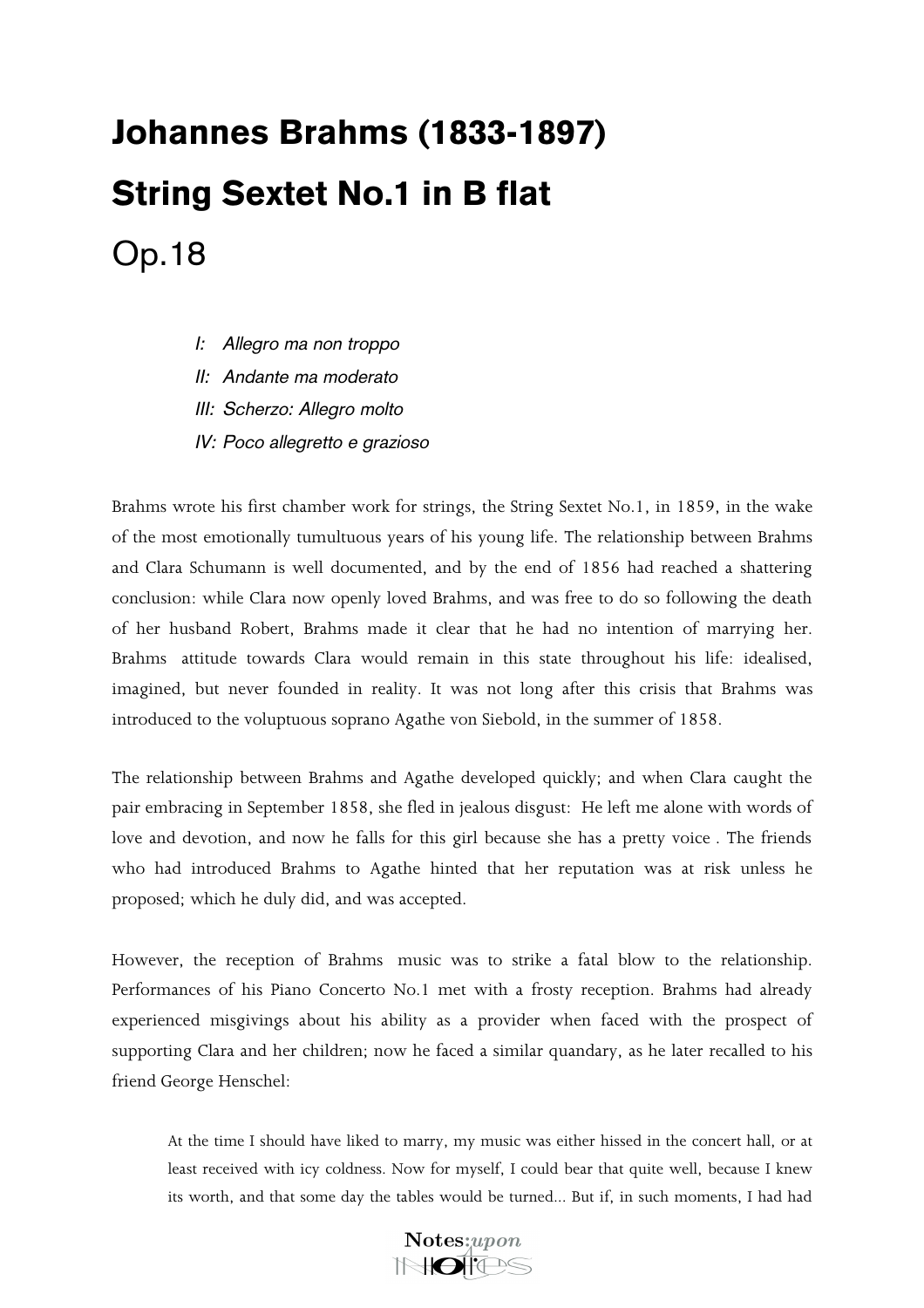## Johannes Brahms (1833-1897) String Sextet No.1 in B flat Op.18

- *I: Allegro ma non troppo*
- *II: Andante ma moderato*
- *III: Scherzo: Allegro molto*
- *IV: Poco allegretto e grazioso*

Brahms wrote his first chamber work for strings, the String Sextet No.1, in 1859, in the wake of the most emotionally tumultuous years of his young life. The relationship between Brahms and Clara Schumann is well documented, and by the end of 1856 had reached a shattering conclusion: while Clara now openly loved Brahms, and was free to do so following the death of her husband Robert, Brahms made it clear that he had no intention of marrying her. Brahms attitude towards Clara would remain in this state throughout his life: idealised, imagined, but never founded in reality. It was not long after this crisis that Brahms was introduced to the voluptuous soprano Agathe von Siebold, in the summer of 1858.

The relationship between Brahms and Agathe developed quickly; and when Clara caught the pair embracing in September 1858, she fled in jealous disgust: He left me alone with words of love and devotion, and now he falls for this girl because she has a pretty voice. The friends who had introduced Brahms to Agathe hinted that her reputation was at risk unless he proposed; which he duly did, and was accepted.

However, the reception of Brahms music was to strike a fatal blow to the relationship. Performances of his Piano Concerto No.1 met with a frosty reception. Brahms had already experienced misgivings about his ability as a provider when faced with the prospect of supporting Clara and her children; now he faced a similar quandary, as he later recalled to his friend George Henschel:

At the time I should have liked to marry, my music was either hissed in the concert hall, or at least received with icy coldness. Now for myself, I could bear that quite well, because I knew its worth, and that some day the tables would be turned... But if, in such moments, I had had

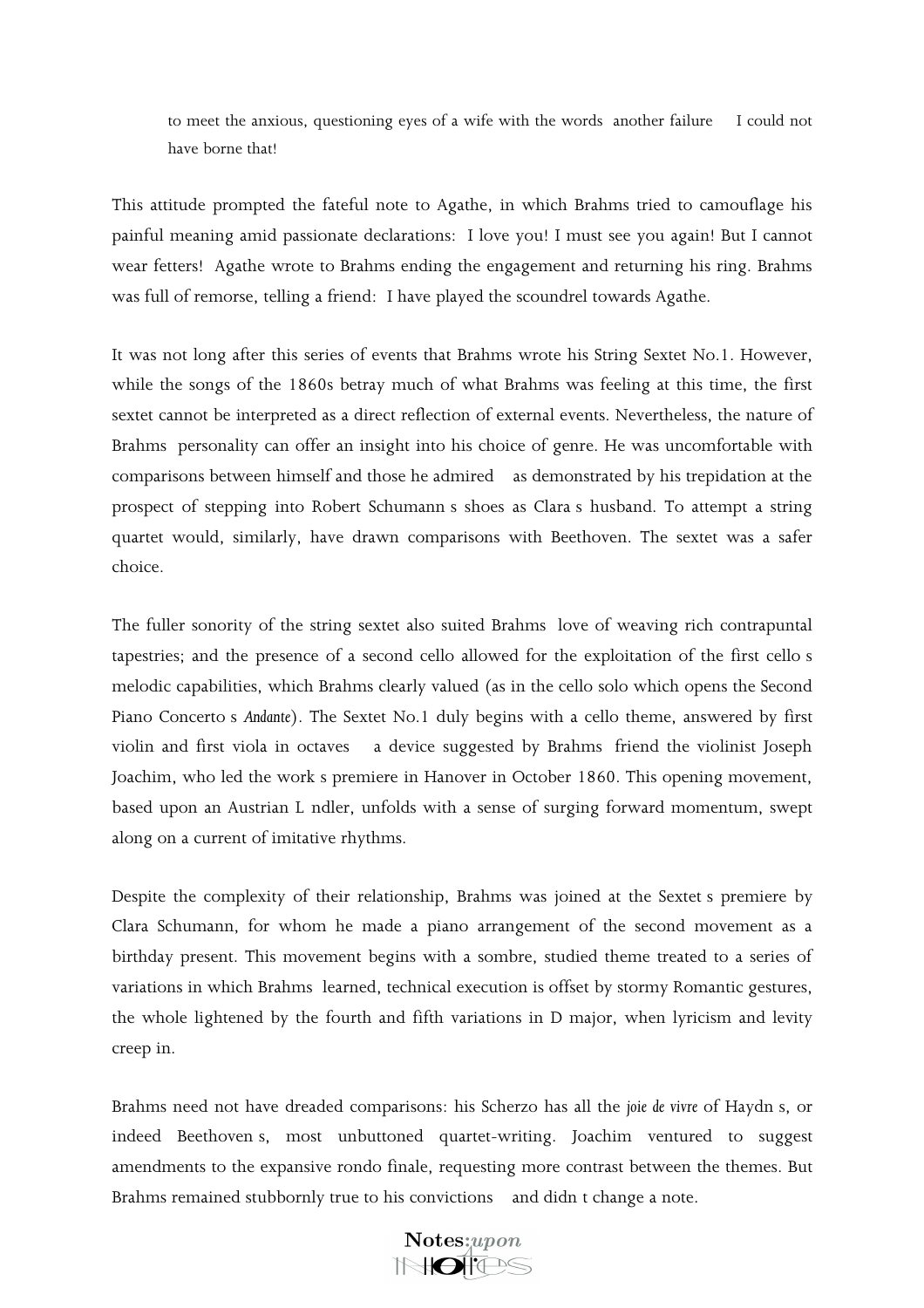to meet the anxious, questioning eyes of a wife with the words another failure I could not have borne that!

This attitude prompted the fateful note to Agathe, in which Brahms tried to camouflage his painful meaning amid passionate declarations: I love you! I must see you again! But I cannot wear fetters! Agathe wrote to Brahms ending the engagement and returning his ring. Brahms was full of remorse, telling a friend: I have played the scoundrel towards Agathe.

It was not long after this series of events that Brahms wrote his String Sextet No.1. However, while the songs of the 1860s betray much of what Brahms was feeling at this time, the first sextet cannot be interpreted as a direct reflection of external events. Nevertheless, the nature of Brahms personality can offer an insight into his choice of genre. He was uncomfortable with comparisons between himself and those he admired as demonstrated by his trepidation at the prospect of stepping into Robert Schumann s shoes as Clara s husband. To attempt a string quartet would, similarly, have drawn comparisons with Beethoven. The sextet was a safer choice.

The fuller sonority of the string sextet also suited Brahms love of weaving rich contrapuntal tapestries; and the presence of a second cello allowed for the exploitation of the first cellos melodic capabilities, which Brahms clearly valued (as in the cello solo which opens the Second Piano Concertos *Andante*). The Sextet No.1 duly begins with a cello theme, answered by first violin and first viola in octaves a device suggested by Brahms friend the violinist Joseph Joachim, who led the work s premiere in Hanover in October 1860. This opening movement, based upon an Austrian L ndler, unfolds with a sense of surging forward momentum, swept along on a current of imitative rhythms.

Despite the complexity of their relationship, Brahms was joined at the Sextet s premiere by Clara Schumann, for whom he made a piano arrangement of the second movement as a birthday present. This movement begins with a sombre, studied theme treated to a series of variations in which Brahms learned, technical execution is offset by stormy Romantic gestures, the whole lightened by the fourth and fifth variations in D major, when lyricism and levity creep in.

Brahms need not have dreaded comparisons: his Scherzo has all the *joie de vivre* of Haydns, or indeed Beethovens, most unbuttoned quartet-writing. Joachim ventured to suggest amendments to the expansive rondo finale, requesting more contrast between the themes. But Brahms remained stubbornly true to his convictions and didn t change a note.

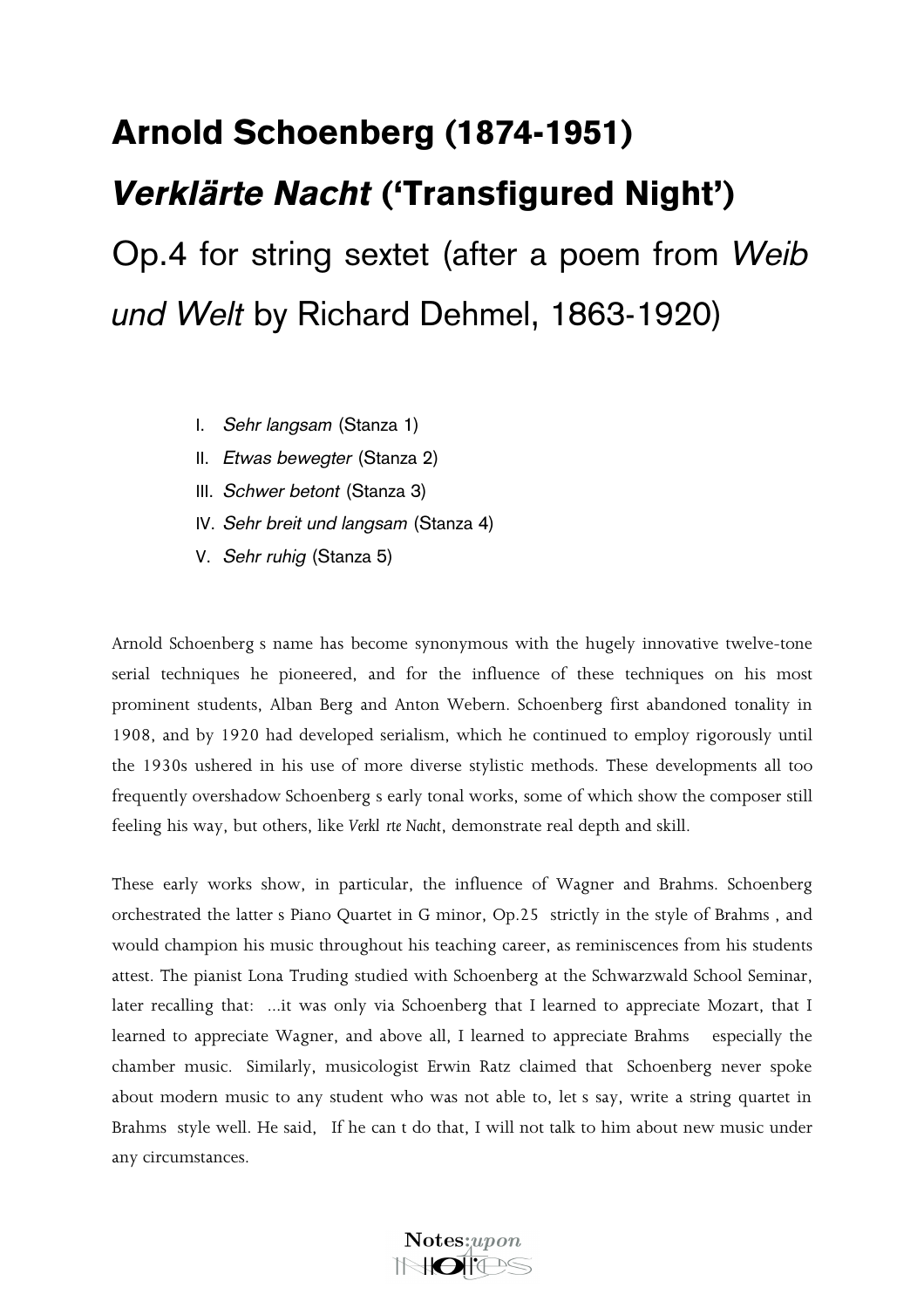## Arnold Schoenberg (1874-1951) *Verklärte Nacht* (Transfigured Night) Op.4 for string sextet (after a poem from *Weib*

*und Welt* by Richard Dehmel, 1863-1920)

- I. *Sehr langsam* (Stanza 1)
- II. *Etwas bewegter* (Stanza 2)
- III. *Schwer betont* (Stanza 3)
- IV. *Sehr breit und langsam* (Stanza 4)
- V. *Sehr ruhig* (Stanza 5)

Arnold Schoenbergs name has become synonymous with the hugely innovative twelve-tone serial techniques he pioneered, and for the influence of these techniques on his most prominent students, Alban Berg and Anton Webern. Schoenberg first abandoned tonality in 1908, and by 1920 had developed serialism, which he continued to employ rigorously until the 1930s ushered in his use of more diverse stylistic methods. These developments all too frequently overshadow Schoenberg s early tonal works, some of which show the composer still feeling his way, but others, like *Verkl rte Nacht*, demonstrate real depth and skill.

These early works show, in particular, the influence of Wagner and Brahms. Schoenberg orchestrated the latter s Piano Quartet in G minor, Op.25 strictly in the style of Brahms, and would champion his music throughout his teaching career, as reminiscences from his students attest. The pianist Lona Truding studied with Schoenberg at the Schwarzwald School Seminar, later recalling that: ...it was only via Schoenberg that I learned to appreciate Mozart, that I learned to appreciate Wagner, and above all, I learned to appreciate Brahms especially the chamber music. Similarly, musicologist Erwin Ratz claimed that Schoenberg never spoke about modern music to any student who was not able to, let s say, write a string quartet in Brahms style well. He said, If he can t do that, I will not talk to him about new music under any circumstances.

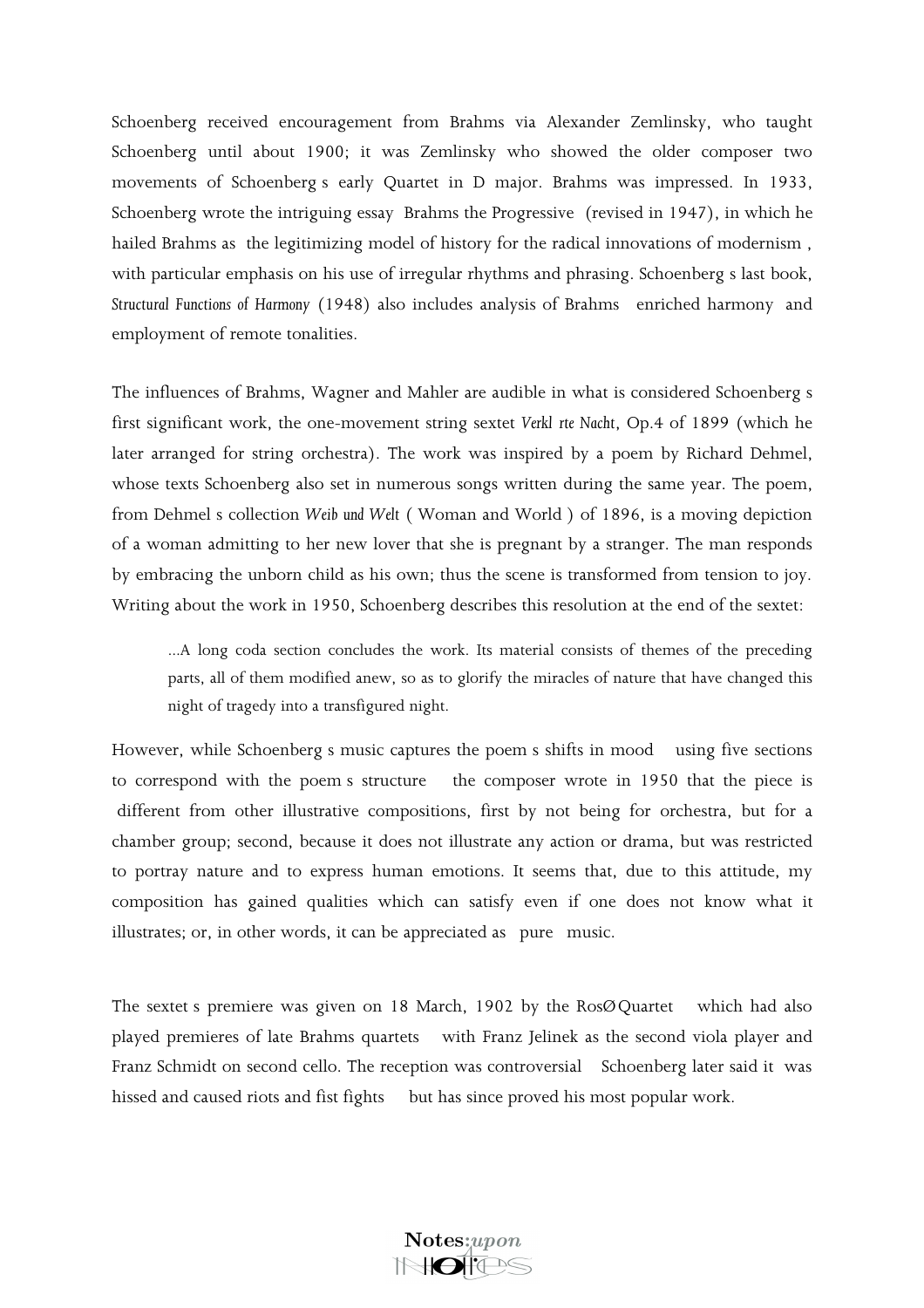Schoenberg received encouragement from Brahms via Alexander Zemlinsky, who taught Schoenberg until about 1900; it was Zemlinsky who showed the older composer two movements of Schoenbergs early Quartet in D major. Brahms was impressed. In 1933, Schoenberg wrote the intriguing essay Brahms the Progressive (revised in 1947), in which he hailed Brahms as the legitimizing model of history for the radical innovations of modernism, with particular emphasis on his use of irregular rhythms and phrasing. Schoenbergs last book, *Structural Functions of Harmony* (1948) also includes analysis of Brahms enriched harmony and employment of remote tonalities.

The influences of Brahms, Wagner and Mahler are audible in what is considered Schoenberg s first significant work, the one-movement string sextet *Verklärte Nacht*, Op.4 of 1899 (which he later arranged for string orchestra). The work was inspired by a poem by Richard Dehmel, whose texts Schoenberg also set in numerous songs written during the same year. The poem, from Dehmels collection *Weib und Welt* (Woman and World) of 1896, is a moving depiction of a woman admitting to her new lover that she is pregnant by a stranger. The man responds by embracing the unborn child as his own; thus the scene is transformed from tension to joy. Writing about the work in 1950, Schoenberg describes this resolution at the end of the sextet:

...A long coda section concludes the work. Its material consists of themes of the preceding parts, all of them modified anew, so as to glorify the miracles of nature that have changed this night of tragedy into a transfigured night.

However, while Schoenberg s music captures the poem s shifts in mood using five sections to correspond with the poems structure the composer wrote in 1950 that the piece is different from other illustrative compositions, first by not being for orchestra, but for a chamber group; second, because it does not illustrate any action or drama, but was restricted to portray nature and to express human emotions. It seems that, due to this attitude, my composition has gained qualities which can satisfy even if one does not know what it illustrates; or, in other words, it can be appreciated as pure music.

The sextet s premiere was given on 18 March, 1902 by the  $Ros\mathcal{O}$  Quartet which had also played premieres of late Brahms quartets with Franz Jelinek as the second viola player and Franz Schmidt on second cello. The reception was controversial Schoenberg later said it was hissed and caused riots and fist fights but has since proved his most popular work.